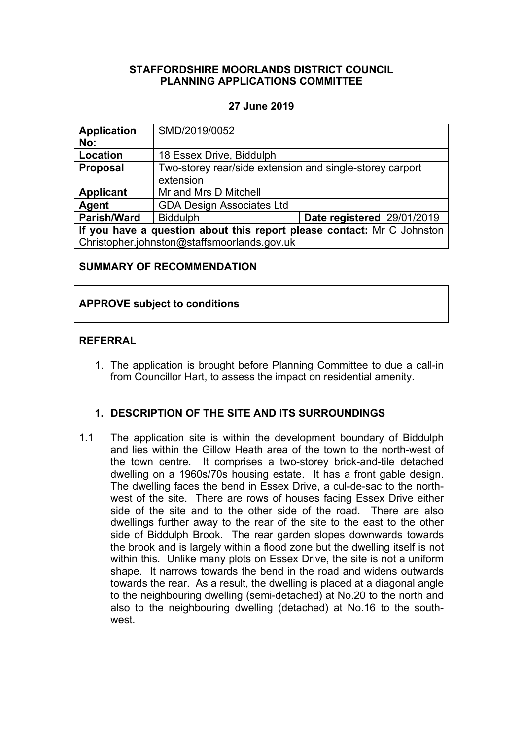### **STAFFORDSHIRE MOORLANDS DISTRICT COUNCIL PLANNING APPLICATIONS COMMITTEE**

## **27 June 2019**

| <b>Application</b><br>No:                                              | SMD/2019/0052                                                         |                            |
|------------------------------------------------------------------------|-----------------------------------------------------------------------|----------------------------|
| Location                                                               | 18 Essex Drive, Biddulph                                              |                            |
| <b>Proposal</b>                                                        | Two-storey rear/side extension and single-storey carport<br>extension |                            |
| <b>Applicant</b>                                                       | Mr and Mrs D Mitchell                                                 |                            |
| Agent                                                                  | <b>GDA Design Associates Ltd</b>                                      |                            |
| <b>Parish/Ward</b>                                                     | <b>Biddulph</b>                                                       | Date registered 29/01/2019 |
| If you have a question about this report please contact: Mr C Johnston |                                                                       |                            |
| Christopher.johnston@staffsmoorlands.gov.uk                            |                                                                       |                            |

#### **SUMMARY OF RECOMMENDATION**

#### **APPROVE subject to conditions**

#### **REFERRAL**

1. The application is brought before Planning Committee to due a call-in from Councillor Hart, to assess the impact on residential amenity.

## **1. DESCRIPTION OF THE SITE AND ITS SURROUNDINGS**

1.1 The application site is within the development boundary of Biddulph and lies within the Gillow Heath area of the town to the north-west of the town centre. It comprises a two-storey brick-and-tile detached dwelling on a 1960s/70s housing estate. It has a front gable design. The dwelling faces the bend in Essex Drive, a cul-de-sac to the northwest of the site. There are rows of houses facing Essex Drive either side of the site and to the other side of the road. There are also dwellings further away to the rear of the site to the east to the other side of Biddulph Brook. The rear garden slopes downwards towards the brook and is largely within a flood zone but the dwelling itself is not within this. Unlike many plots on Essex Drive, the site is not a uniform shape. It narrows towards the bend in the road and widens outwards towards the rear. As a result, the dwelling is placed at a diagonal angle to the neighbouring dwelling (semi-detached) at No.20 to the north and also to the neighbouring dwelling (detached) at No.16 to the southwest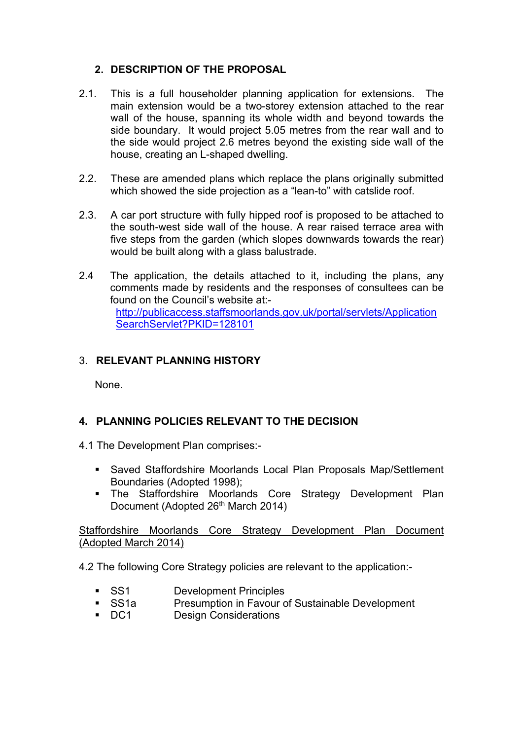# **2. DESCRIPTION OF THE PROPOSAL**

- 2.1. This is a full householder planning application for extensions. The main extension would be a two-storey extension attached to the rear wall of the house, spanning its whole width and beyond towards the side boundary. It would project 5.05 metres from the rear wall and to the side would project 2.6 metres beyond the existing side wall of the house, creating an L-shaped dwelling.
- 2.2. These are amended plans which replace the plans originally submitted which showed the side projection as a "lean-to" with catslide roof.
- 2.3. A car port structure with fully hipped roof is proposed to be attached to the south-west side wall of the house. A rear raised terrace area with five steps from the garden (which slopes downwards towards the rear) would be built along with a glass balustrade.
- 2.4 The application, the details attached to it, including the plans, any comments made by residents and the responses of consultees can be found on the Council's website at: [http://publicaccess.staffsmoorlands.gov.uk/portal/servlets/Application](http://publicaccess.staffsmoorlands.gov.uk/portal/servlets/ApplicationSearchServlet?PKID=128101) [SearchServlet?PKID=128101](http://publicaccess.staffsmoorlands.gov.uk/portal/servlets/ApplicationSearchServlet?PKID=128101)

# 3. **RELEVANT PLANNING HISTORY**

None.

# **4. PLANNING POLICIES RELEVANT TO THE DECISION**

- 4.1 The Development Plan comprises:-
	- Saved Staffordshire Moorlands Local Plan Proposals Map/Settlement Boundaries (Adopted 1998);
	- The Staffordshire Moorlands Core Strategy Development Plan Document (Adopted 26<sup>th</sup> March 2014)

Staffordshire Moorlands Core Strategy Development Plan Document (Adopted March 2014)

4.2 The following Core Strategy policies are relevant to the application:-

- SS1 Development Principles
- SS1a Presumption in Favour of Sustainable Development<br>Design Considerations
- Design Considerations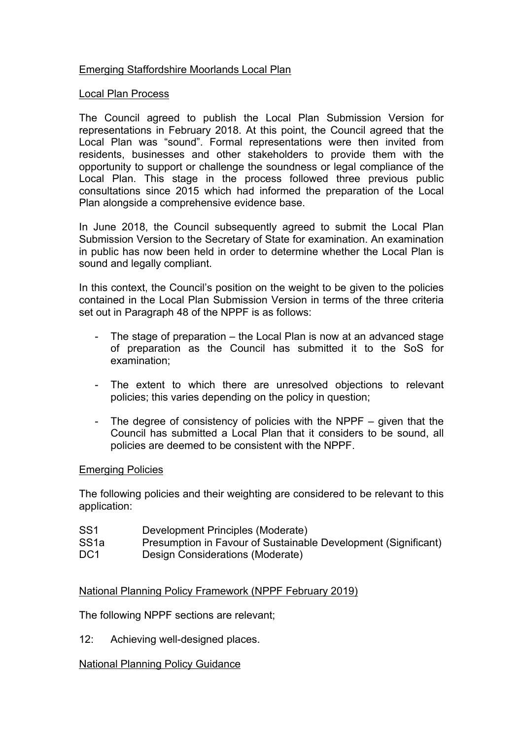## Emerging Staffordshire Moorlands Local Plan

#### Local Plan Process

The Council agreed to publish the Local Plan Submission Version for representations in February 2018. At this point, the Council agreed that the Local Plan was "sound". Formal representations were then invited from residents, businesses and other stakeholders to provide them with the opportunity to support or challenge the soundness or legal compliance of the Local Plan. This stage in the process followed three previous public consultations since 2015 which had informed the preparation of the Local Plan alongside a comprehensive evidence base.

In June 2018, the Council subsequently agreed to submit the Local Plan Submission Version to the Secretary of State for examination. An examination in public has now been held in order to determine whether the Local Plan is sound and legally compliant.

In this context, the Council's position on the weight to be given to the policies contained in the Local Plan Submission Version in terms of the three criteria set out in Paragraph 48 of the NPPF is as follows:

- The stage of preparation the Local Plan is now at an advanced stage of preparation as the Council has submitted it to the SoS for examination;
- The extent to which there are unresolved objections to relevant policies; this varies depending on the policy in question;
- The degree of consistency of policies with the NPPF given that the Council has submitted a Local Plan that it considers to be sound, all policies are deemed to be consistent with the NPPF.

## Emerging Policies

The following policies and their weighting are considered to be relevant to this application:

- SS1 Development Principles (Moderate)
- SS1a Presumption in Favour of Sustainable Development (Significant)
- DC1 Design Considerations (Moderate)

## National Planning Policy Framework (NPPF February 2019)

The following NPPF sections are relevant;

12: Achieving well-designed places.

#### National Planning Policy Guidance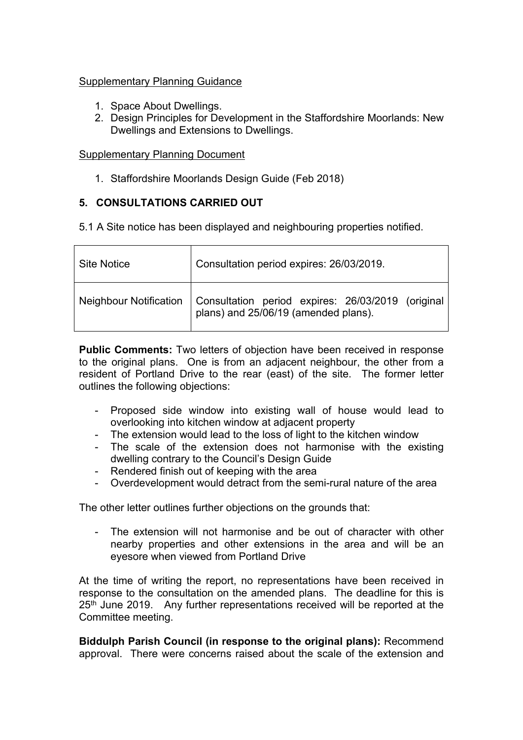## Supplementary Planning Guidance

- 1. Space About Dwellings.
- 2. Design Principles for Development in the Staffordshire Moorlands: New Dwellings and Extensions to Dwellings.

## Supplementary Planning Document

1. Staffordshire Moorlands Design Guide (Feb 2018)

# **5. CONSULTATIONS CARRIED OUT**

5.1 A Site notice has been displayed and neighbouring properties notified.

| <b>Site Notice</b>            | Consultation period expires: 26/03/2019.                                               |
|-------------------------------|----------------------------------------------------------------------------------------|
| <b>Neighbour Notification</b> | Consultation period expires: 26/03/2019 (original plans) and 25/06/19 (amended plans). |

**Public Comments:** Two letters of objection have been received in response to the original plans. One is from an adjacent neighbour, the other from a resident of Portland Drive to the rear (east) of the site. The former letter outlines the following objections:

- Proposed side window into existing wall of house would lead to overlooking into kitchen window at adjacent property
- The extension would lead to the loss of light to the kitchen window
- The scale of the extension does not harmonise with the existing dwelling contrary to the Council's Design Guide
- Rendered finish out of keeping with the area
- Overdevelopment would detract from the semi-rural nature of the area

The other letter outlines further objections on the grounds that:

The extension will not harmonise and be out of character with other nearby properties and other extensions in the area and will be an eyesore when viewed from Portland Drive

At the time of writing the report, no representations have been received in response to the consultation on the amended plans. The deadline for this is 25<sup>th</sup> June 2019. Any further representations received will be reported at the Committee meeting.

**Biddulph Parish Council (in response to the original plans):** Recommend approval. There were concerns raised about the scale of the extension and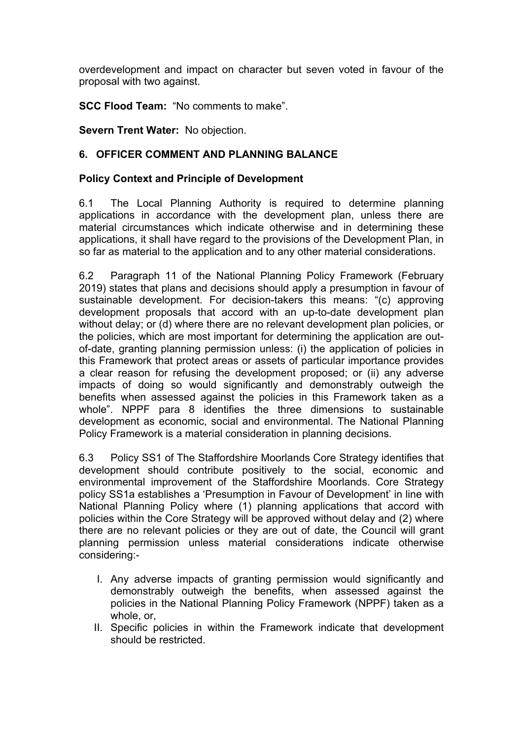overdevelopment and impact on character but seven voted in favour of the proposal with two against.

**SCC Flood Team:** "No comments to make".

**Severn Trent Water:** No objection.

## **6. OFFICER COMMENT AND PLANNING BALANCE**

## **Policy Context and Principle of Development**

6.1 The Local Planning Authority is required to determine planning applications in accordance with the development plan, unless there are material circumstances which indicate otherwise and in determining these applications, it shall have regard to the provisions of the Development Plan, in so far as material to the application and to any other material considerations.

6.2 Paragraph 11 of the National Planning Policy Framework (February 2019) states that plans and decisions should apply a presumption in favour of sustainable development. For decision-takers this means: "(c) approving development proposals that accord with an up-to-date development plan without delay; or (d) where there are no relevant development plan policies, or the policies, which are most important for determining the application are outof-date, granting planning permission unless: (i) the application of policies in this Framework that protect areas or assets of particular importance provides a clear reason for refusing the development proposed; or (ii) any adverse impacts of doing so would significantly and demonstrably outweigh the benefits when assessed against the policies in this Framework taken as a whole". NPPF para 8 identifies the three dimensions to sustainable development as economic, social and environmental. The National Planning Policy Framework is a material consideration in planning decisions.

6.3 Policy SS1 of The Staffordshire Moorlands Core Strategy identifies that development should contribute positively to the social, economic and environmental improvement of the Staffordshire Moorlands. Core Strategy policy SS1a establishes a 'Presumption in Favour of Development' in line with National Planning Policy where (1) planning applications that accord with policies within the Core Strategy will be approved without delay and (2) where there are no relevant policies or they are out of date, the Council will grant planning permission unless material considerations indicate otherwise considering:-

- I. Any adverse impacts of granting permission would significantly and demonstrably outweigh the benefits, when assessed against the policies in the National Planning Policy Framework (NPPF) taken as a whole, or,
- II. Specific policies in within the Framework indicate that development should be restricted.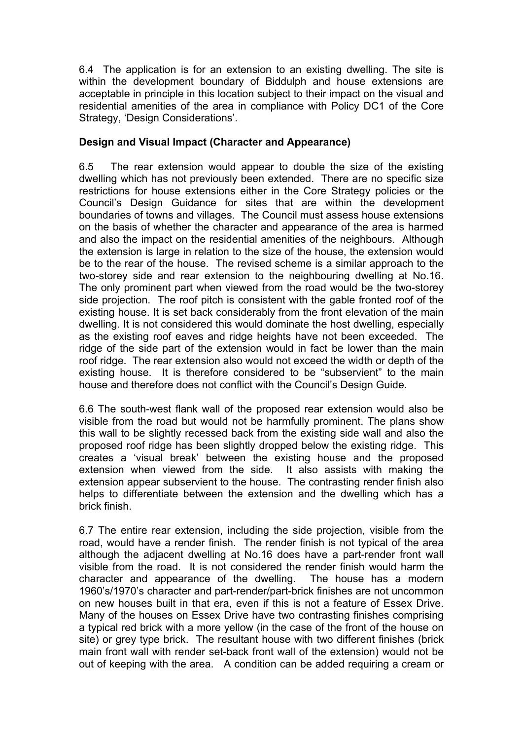6.4 The application is for an extension to an existing dwelling. The site is within the development boundary of Biddulph and house extensions are acceptable in principle in this location subject to their impact on the visual and residential amenities of the area in compliance with Policy DC1 of the Core Strategy, 'Design Considerations'.

## **Design and Visual Impact (Character and Appearance)**

6.5 The rear extension would appear to double the size of the existing dwelling which has not previously been extended. There are no specific size restrictions for house extensions either in the Core Strategy policies or the Council's Design Guidance for sites that are within the development boundaries of towns and villages. The Council must assess house extensions on the basis of whether the character and appearance of the area is harmed and also the impact on the residential amenities of the neighbours. Although the extension is large in relation to the size of the house, the extension would be to the rear of the house. The revised scheme is a similar approach to the two-storey side and rear extension to the neighbouring dwelling at No.16. The only prominent part when viewed from the road would be the two-storey side projection. The roof pitch is consistent with the gable fronted roof of the existing house. It is set back considerably from the front elevation of the main dwelling. It is not considered this would dominate the host dwelling, especially as the existing roof eaves and ridge heights have not been exceeded. The ridge of the side part of the extension would in fact be lower than the main roof ridge. The rear extension also would not exceed the width or depth of the existing house. It is therefore considered to be "subservient" to the main house and therefore does not conflict with the Council's Design Guide.

6.6 The south-west flank wall of the proposed rear extension would also be visible from the road but would not be harmfully prominent. The plans show this wall to be slightly recessed back from the existing side wall and also the proposed roof ridge has been slightly dropped below the existing ridge. This creates a 'visual break' between the existing house and the proposed extension when viewed from the side. It also assists with making the extension appear subservient to the house. The contrasting render finish also helps to differentiate between the extension and the dwelling which has a brick finish.

6.7 The entire rear extension, including the side projection, visible from the road, would have a render finish. The render finish is not typical of the area although the adjacent dwelling at No.16 does have a part-render front wall visible from the road. It is not considered the render finish would harm the character and appearance of the dwelling. The house has a modern 1960's/1970's character and part-render/part-brick finishes are not uncommon on new houses built in that era, even if this is not a feature of Essex Drive. Many of the houses on Essex Drive have two contrasting finishes comprising a typical red brick with a more yellow (in the case of the front of the house on site) or grey type brick. The resultant house with two different finishes (brick main front wall with render set-back front wall of the extension) would not be out of keeping with the area. A condition can be added requiring a cream or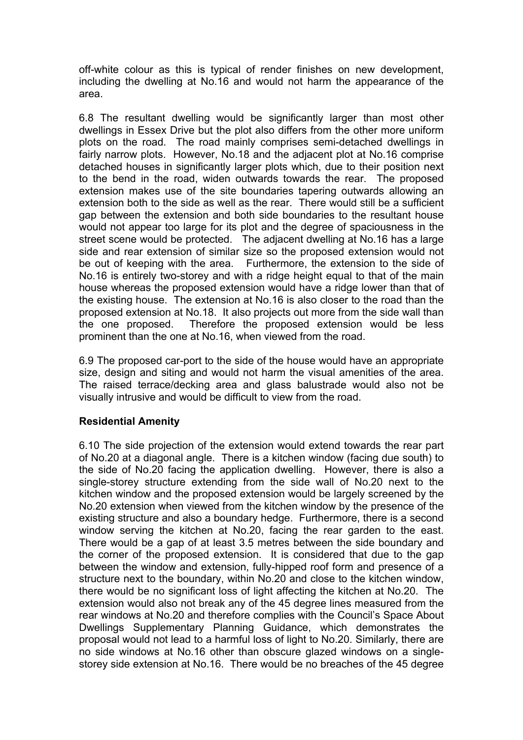off-white colour as this is typical of render finishes on new development, including the dwelling at No.16 and would not harm the appearance of the area.

6.8 The resultant dwelling would be significantly larger than most other dwellings in Essex Drive but the plot also differs from the other more uniform plots on the road. The road mainly comprises semi-detached dwellings in fairly narrow plots. However, No.18 and the adjacent plot at No.16 comprise detached houses in significantly larger plots which, due to their position next to the bend in the road, widen outwards towards the rear. The proposed extension makes use of the site boundaries tapering outwards allowing an extension both to the side as well as the rear. There would still be a sufficient gap between the extension and both side boundaries to the resultant house would not appear too large for its plot and the degree of spaciousness in the street scene would be protected. The adjacent dwelling at No.16 has a large side and rear extension of similar size so the proposed extension would not be out of keeping with the area. Furthermore, the extension to the side of No.16 is entirely two-storey and with a ridge height equal to that of the main house whereas the proposed extension would have a ridge lower than that of the existing house. The extension at No.16 is also closer to the road than the proposed extension at No.18. It also projects out more from the side wall than the one proposed. Therefore the proposed extension would be less prominent than the one at No.16, when viewed from the road.

6.9 The proposed car-port to the side of the house would have an appropriate size, design and siting and would not harm the visual amenities of the area. The raised terrace/decking area and glass balustrade would also not be visually intrusive and would be difficult to view from the road.

## **Residential Amenity**

6.10 The side projection of the extension would extend towards the rear part of No.20 at a diagonal angle. There is a kitchen window (facing due south) to the side of No.20 facing the application dwelling. However, there is also a single-storey structure extending from the side wall of No.20 next to the kitchen window and the proposed extension would be largely screened by the No.20 extension when viewed from the kitchen window by the presence of the existing structure and also a boundary hedge. Furthermore, there is a second window serving the kitchen at No.20, facing the rear garden to the east. There would be a gap of at least 3.5 metres between the side boundary and the corner of the proposed extension. It is considered that due to the gap between the window and extension, fully-hipped roof form and presence of a structure next to the boundary, within No.20 and close to the kitchen window, there would be no significant loss of light affecting the kitchen at No.20. The extension would also not break any of the 45 degree lines measured from the rear windows at No.20 and therefore complies with the Council's Space About Dwellings Supplementary Planning Guidance, which demonstrates the proposal would not lead to a harmful loss of light to No.20. Similarly, there are no side windows at No.16 other than obscure glazed windows on a singlestorey side extension at No.16. There would be no breaches of the 45 degree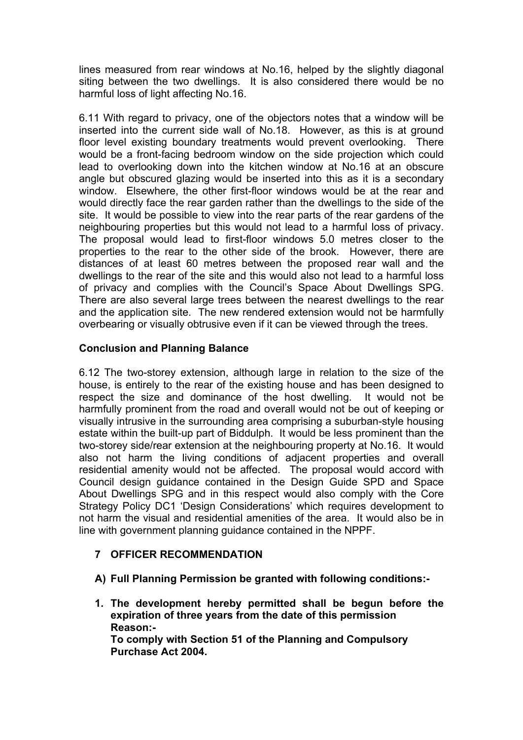lines measured from rear windows at No.16, helped by the slightly diagonal siting between the two dwellings. It is also considered there would be no harmful loss of light affecting No.16.

6.11 With regard to privacy, one of the objectors notes that a window will be inserted into the current side wall of No.18. However, as this is at ground floor level existing boundary treatments would prevent overlooking. There would be a front-facing bedroom window on the side projection which could lead to overlooking down into the kitchen window at No.16 at an obscure angle but obscured glazing would be inserted into this as it is a secondary window. Elsewhere, the other first-floor windows would be at the rear and would directly face the rear garden rather than the dwellings to the side of the site. It would be possible to view into the rear parts of the rear gardens of the neighbouring properties but this would not lead to a harmful loss of privacy. The proposal would lead to first-floor windows 5.0 metres closer to the properties to the rear to the other side of the brook. However, there are distances of at least 60 metres between the proposed rear wall and the dwellings to the rear of the site and this would also not lead to a harmful loss of privacy and complies with the Council's Space About Dwellings SPG. There are also several large trees between the nearest dwellings to the rear and the application site. The new rendered extension would not be harmfully overbearing or visually obtrusive even if it can be viewed through the trees.

# **Conclusion and Planning Balance**

6.12 The two-storey extension, although large in relation to the size of the house, is entirely to the rear of the existing house and has been designed to respect the size and dominance of the host dwelling. It would not be harmfully prominent from the road and overall would not be out of keeping or visually intrusive in the surrounding area comprising a suburban-style housing estate within the built-up part of Biddulph. It would be less prominent than the two-storey side/rear extension at the neighbouring property at No.16. It would also not harm the living conditions of adjacent properties and overall residential amenity would not be affected. The proposal would accord with Council design guidance contained in the Design Guide SPD and Space About Dwellings SPG and in this respect would also comply with the Core Strategy Policy DC1 'Design Considerations' which requires development to not harm the visual and residential amenities of the area. It would also be in line with government planning guidance contained in the NPPF.

# **7 OFFICER RECOMMENDATION**

- **A) Full Planning Permission be granted with following conditions:-**
- **1. The development hereby permitted shall be begun before the expiration of three years from the date of this permission Reason:- To comply with Section 51 of the Planning and Compulsory Purchase Act 2004.**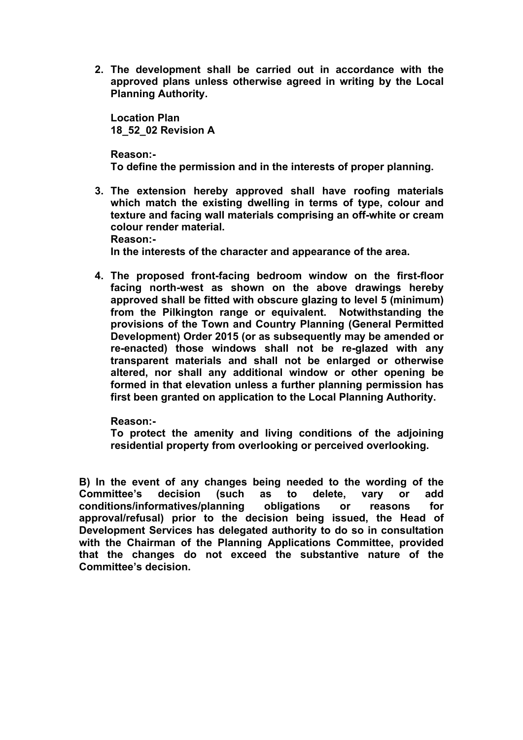**2. The development shall be carried out in accordance with the approved plans unless otherwise agreed in writing by the Local Planning Authority.**

**Location Plan 18\_52\_02 Revision A** 

**Reason:- To define the permission and in the interests of proper planning.**

**3. The extension hereby approved shall have roofing materials which match the existing dwelling in terms of type, colour and texture and facing wall materials comprising an off-white or cream colour render material. Reason:-**

**In the interests of the character and appearance of the area.**

**4. The proposed front-facing bedroom window on the first-floor facing north-west as shown on the above drawings hereby approved shall be fitted with obscure glazing to level 5 (minimum) from the Pilkington range or equivalent. Notwithstanding the provisions of the Town and Country Planning (General Permitted Development) Order 2015 (or as subsequently may be amended or re-enacted) those windows shall not be re-glazed with any transparent materials and shall not be enlarged or otherwise altered, nor shall any additional window or other opening be formed in that elevation unless a further planning permission has first been granted on application to the Local Planning Authority.**

**Reason:-**

**To protect the amenity and living conditions of the adjoining residential property from overlooking or perceived overlooking.**

**B) In the event of any changes being needed to the wording of the Committee's decision (such as to delete, vary or add conditions/informatives/planning obligations or reasons for approval/refusal) prior to the decision being issued, the Head of Development Services has delegated authority to do so in consultation with the Chairman of the Planning Applications Committee, provided that the changes do not exceed the substantive nature of the Committee's decision.**